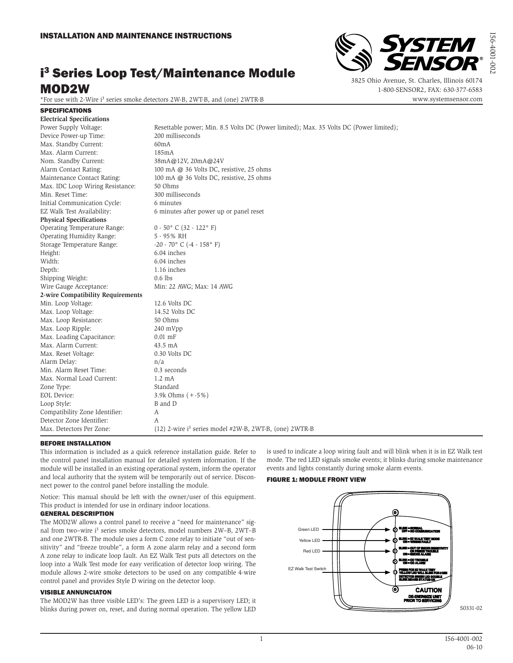# i 3 Series Loop Test/Maintenance Module MOD2W

\*For use with 2-Wire i3 series smoke detectors 2W-B, 2WT-B, and (one) 2WTR-B



3825 Ohio Avenue, St. Charles, Illinois 60174 1-800-SENSOR2, FAX: 630-377-6583 www.systemsensor.com I56-4001-002

10-1001-05

## SPECIFICATIONS **Electrical Specifications**

| Power Supply Voltage:             | Resettable power; Min. 8.5 Volts DC (Power limited); Max. 35 Volts DC (Power limited); |
|-----------------------------------|----------------------------------------------------------------------------------------|
| Device Power-up Time:             | 200 milliseconds                                                                       |
| Max. Standby Current:             | 60mA                                                                                   |
| Max. Alarm Current:               | 185mA                                                                                  |
| Nom. Standby Current:             | 38mA@12V, 20mA@24V                                                                     |
| Alarm Contact Rating:             | 100 mA @ 36 Volts DC, resistive, 25 ohms                                               |
| Maintenance Contact Rating:       | 100 mA @ 36 Volts DC, resistive, 25 ohms                                               |
| Max. IDC Loop Wiring Resistance:  | 50 Ohms                                                                                |
| Min. Reset Time:                  | 300 milliseconds                                                                       |
| Initial Communication Cycle:      | 6 minutes                                                                              |
| EZ Walk Test Availability:        | 6 minutes after power up or panel reset                                                |
| <b>Physical Specifications</b>    |                                                                                        |
| Operating Temperature Range:      | $0 - 50^{\circ}$ C (32 - 122° F)                                                       |
| Operating Humidity Range:         | 5 - 95% RH                                                                             |
| Storage Temperature Range:        | $-20 - 70$ ° C ( $-4 - 158$ ° F)                                                       |
| Height:                           | 6.04 inches                                                                            |
| Width:                            | 6.04 inches                                                                            |
| Depth:                            | 1.16 inches                                                                            |
| Shipping Weight:                  | $0.6$ lbs                                                                              |
| Wire Gauge Acceptance:            | Min: 22 AWG; Max: 14 AWG                                                               |
| 2-wire Compatibility Requirements |                                                                                        |
| Min. Loop Voltage:                | 12.6 Volts DC                                                                          |
| Max. Loop Voltage:                | 14.52 Volts DC                                                                         |
| Max. Loop Resistance:             | 50 Ohms                                                                                |
| Max. Loop Ripple:                 | 240 mVpp                                                                               |
| Max. Loading Capacitance:         | $0.01$ mF                                                                              |
| Max. Alarm Current:               | 43.5 mA                                                                                |
| Max. Reset Voltage:               | 0.30 Volts DC                                                                          |
| Alarm Delay:                      | n/a                                                                                    |
| Min. Alarm Reset Time:            | 0.3 seconds                                                                            |
| Max. Normal Load Current:         | $1.2 \text{ mA}$                                                                       |
| Zone Type:                        | Standard                                                                               |
| EOL Device:                       | 3.9k Ohms $(+ -5\%)$                                                                   |
| Loop Style:                       | B and D                                                                                |
| Compatibility Zone Identifier:    | A                                                                                      |
| Detector Zone Identifier:         | А                                                                                      |
| Max. Detectors Per Zone:          | (12) 2-wire i <sup>3</sup> series model #2W-B, 2WT-B, (one) 2WTR-B                     |

## BEFORE INSTALLATION

This information is included as a quick reference installation guide. Refer to the control panel installation manual for detailed system information. If the module will be installed in an existing operational system, inform the operator and local authority that the system will be temporarily out of service. Disconnect power to the control panel before installing the module.

Notice: This manual should be left with the owner/user of this equipment. This product is intended for use in ordinary indoor locations.

# GENERAL DESCRIPTION

The MOD2W allows a control panel to receive a "need for maintenance" signal from two-wire i<sup>3</sup> series smoke detectors, model numbers 2W-B, 2WT-B and one 2WTR-B. The module uses a form C zone relay to initiate "out of sensitivity" and "freeze trouble", a form A zone alarm relay and a second form A zone relay to indicate loop fault. An EZ Walk Test puts all detectors on the loop into a Walk Test mode for easy verification of detector loop wiring. The module allows 2-wire smoke detectors to be used on any compatible 4-wire control panel and provides Style D wiring on the detector loop.

## VISIBLE ANNUNCIATON

The MOD2W has three visible LED's: The green LED is a supervisory LED; it blinks during power on, reset, and during normal operation. The yellow LED is used to indicate a loop wiring fault and will blink when it is in EZ Walk test mode. The red LED signals smoke events; it blinks during smoke maintenance events and lights constantly during smoke alarm events.

## FIGURE 1: MODULE FRONT VIEW

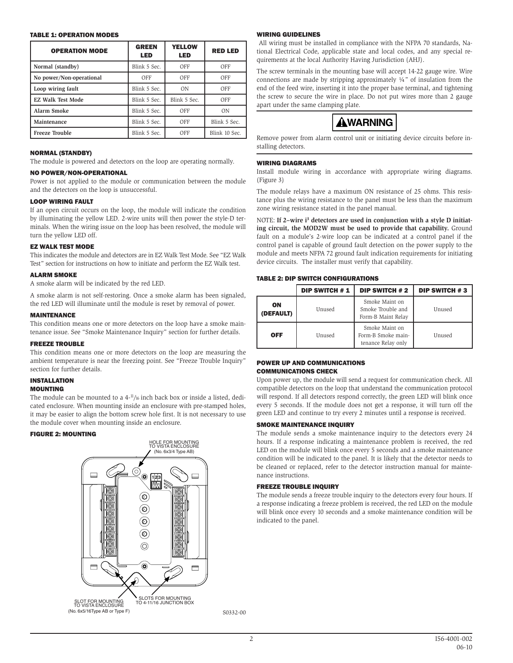#### TABLE 1: OPERATION MODES

| <b>OPERATION MODE</b>    | <b>GREEN</b><br><b>LED</b> | <b>YELLOW</b><br><b>LED</b> | <b>RED LED</b> |
|--------------------------|----------------------------|-----------------------------|----------------|
| Normal (standby)         | Blink 5 Sec.               | OFF                         | OFF            |
| No power/Non-operational | OFF                        | OFF                         | OFF            |
| Loop wiring fault        | Blink 5 Sec.               | 0 <sub>N</sub>              | OFF            |
| <b>EZ Walk Test Mode</b> | Blink 5 Sec.               | Blink 5 Sec.                | OFF            |
| <b>Alarm Smoke</b>       | Blink 5 Sec.               | OFF                         | ON             |
| Maintenance              | Blink 5 Sec.               | OFF                         | Blink 5 Sec.   |
| <b>Freeze Trouble</b>    | Blink 5 Sec.               | OFF                         | Blink 10 Sec.  |

## NORMAL (STANDBY)

The module is powered and detectors on the loop are operating normally.

## NO POWER/NON-OPERATIONAL

Power is not applied to the module or communication between the module and the detectors on the loop is unsuccessful.

## LOOP WIRING FAULT

If an open circuit occurs on the loop, the module will indicate the condition by illuminating the yellow LED. 2-wire units will then power the style-D terminals. When the wiring issue on the loop has been resolved, the module will turn the yellow LED off.

#### EZ WALK TEST MODE

This indicates the module and detectors are in EZ Walk Test Mode. See "EZ Walk Test" section for instructions on how to initiate and perform the EZ Walk test.

## **ALARM SMOKE**

A smoke alarm will be indicated by the red LED.

A smoke alarm is not self-restoring. Once a smoke alarm has been signaled, the red LED will illuminate until the module is reset by removal of power.

#### MAINTENANCE

This condition means one or more detectors on the loop have a smoke maintenance issue. See "Smoke Maintenance Inquiry" section for further details.

#### FREEZE TROUBLE

This condition means one or more detectors on the loop are measuring the ambient temperature is near the freezing point. See "Freeze Trouble Inquiry" section for further details.

## INSTALLATION

## MOUNTING

The module can be mounted to a  $4^{-11}/16$  inch back box or inside a listed, dedicated enclosure. When mounting inside an enclosure with pre-stamped holes, it may be easier to align the bottom screw hole first. It is not necessary to use the module cover when mounting inside an enclosure.

#### FIGURE 2: MOUNTING



## WIRING GUIDELINES

 All wiring must be installed in compliance with the NFPA 70 standards, National Electrical Code, applicable state and local codes, and any special requirements at the local Authority Having Jurisdiction (AHJ).

The screw terminals in the mounting base will accept 14-22 gauge wire. Wire connections are made by stripping approximately  $\frac{1}{4}$ " of insulation from the end of the feed wire, inserting it into the proper base terminal, and tightening the screw to secure the wire in place. Do not put wires more than 2 gauge apart under the same clamping plate.



Remove power from alarm control unit or initiating device circuits before installing detectors.

## WIRING DIAGRAMS

Install module wiring in accordance with appropriate wiring diagrams. (Figure 3)

The module relays have a maximum ON resistance of 25 ohms. This resistance plus the wiring resistance to the panel must be less than the maximum zone wiring resistance stated in the panel manual.

NOTE: If 2-wire i<sup>3</sup> detectors are used in conjunction with a style D initiat**ing circuit, the MOD2W must be used to provide that capability.** Ground fault on a module's 2-wire loop can be indicated at a control panel if the control panel is capable of ground fault detection on the power supply to the module and meets NFPA 72 ground fault indication requirements for initiating device circuits. The installer must verify that capability.

## TABLE 2: DIP SWITCH CONFIGURATIONS

|                 | <b>DIP SWITCH #1</b> | <b>DIP SWITCH #2</b>                                       | <b>DIP SWITCH #3</b> |
|-----------------|----------------------|------------------------------------------------------------|----------------------|
| ON<br>(DEFAULT) | Unused               | Smoke Maint on<br>Smoke Trouble and<br>Form-B Maint Relay  | Unused               |
| <b>OFF</b>      | Unused               | Smoke Maint on<br>Form-B Smoke main-<br>tenance Relay only | Unused               |

## POWER UP AND COMMUNICATIONS COMMUNICATIONS CHECK

Upon power up, the module will send a request for communication check. All compatible detectors on the loop that understand the communication protocol will respond. If all detectors respond correctly, the green LED will blink once every 5 seconds. If the module does not get a response, it will turn off the green LED and continue to try every 2 minutes until a response is received.

## SMOKE MAINTENANCE INQUIRY

The module sends a smoke maintenance inquiry to the detectors every 24 hours. If a response indicating a maintenance problem is received, the red LED on the module will blink once every 5 seconds and a smoke maintenance condition will be indicated to the panel. It is likely that the detector needs to be cleaned or replaced, refer to the detector instruction manual for maintenance instructions.

### FREEZE TROUBLE INQUIRY

The module sends a freeze trouble inquiry to the detectors every four hours. If a response indicating a freeze problem is received, the red LED on the module will blink once every 10 seconds and a smoke maintenance condition will be indicated to the panel.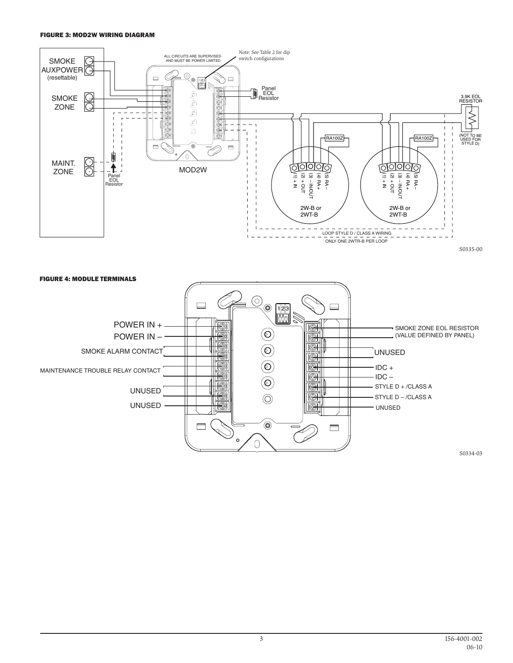## FIGURE 3: MOD2W WIRING DIAGRAM